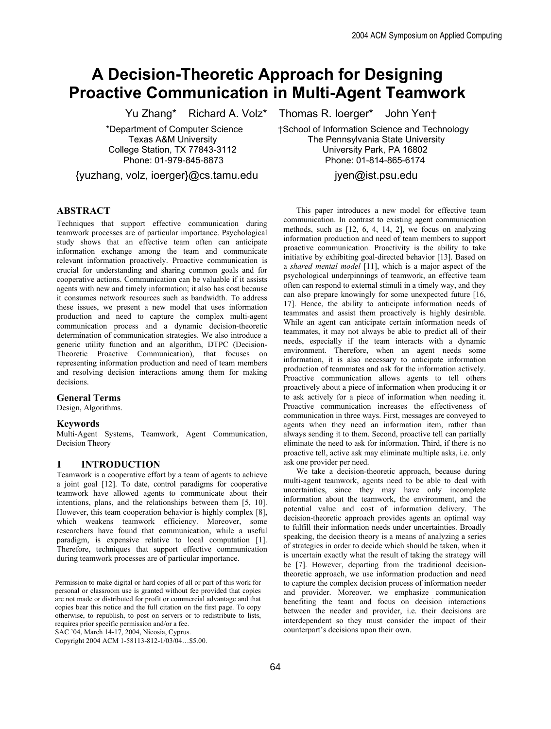# **A Decision-Theoretic Approach for Designing Proactive Communication in Multi-Agent Teamwork**

{yuzhang, volz, ioerger}@cs.tamu.edu jyen@ist.psu.edu

#### **ABSTRACT**

Techniques that support effective communication during teamwork processes are of particular importance. Psychological study shows that an effective team often can anticipate information exchange among the team and communicate relevant information proactively. Proactive communication is crucial for understanding and sharing common goals and for cooperative actions. Communication can be valuable if it assists agents with new and timely information; it also has cost because it consumes network resources such as bandwidth. To address these issues, we present a new model that uses information production and need to capture the complex multi-agent communication process and a dynamic decision-theoretic determination of communication strategies. We also introduce a generic utility function and an algorithm, DTPC (Decision-Theoretic Proactive Communication), that focuses on representing information production and need of team members and resolving decision interactions among them for making decisions.

#### **General Terms**

Design, Algorithms.

#### **Keywords**

Multi-Agent Systems, Teamwork, Agent Communication, Decision Theory

#### **1 INTRODUCTION**

Teamwork is a cooperative effort by a team of agents to achieve a joint goal [12]. To date, control paradigms for cooperative teamwork have allowed agents to communicate about their intentions, plans, and the relationships between them [5, 10]. However, this team cooperation behavior is highly complex [8], which weakens teamwork efficiency. Moreover, some researchers have found that communication, while a useful paradigm, is expensive relative to local computation [1]. Therefore, techniques that support effective communication during teamwork processes are of particular importance.

Permission to make digital or hard copies of all or part of this work for personal or classroom use is granted without fee provided that copies are not made or distributed for profit or commercial advantage and that copies bear this notice and the full citation on the first page. To copy otherwise, to republish, to post on servers or to redistribute to lists, requires prior specific permission and/or a fee.

SAC '04, March 14-17, 2004, Nicosia, Cyprus.

Copyright 2004 ACM 1-58113-812-1/03/04…\$5.00.

Yu Zhang\* Richard A. Volz\* Thomas R. Ioerger\* John Yen†

 \*Department of Computer Science †School of Information Science and Technology Texas A&M University The Pennsylvania State University College Station, TX 77843-3112 University Park, PA 16802 Phone: 01-979-845-8873 Phone: 01-814-865-6174

This paper introduces a new model for effective team communication. In contrast to existing agent communication methods, such as [12, 6, 4, 14, 2], we focus on analyzing information production and need of team members to support proactive communication. Proactivity is the ability to take initiative by exhibiting goal-directed behavior [13]. Based on a *shared mental model* [11], which is a major aspect of the psychological underpinnings of teamwork, an effective team often can respond to external stimuli in a timely way, and they can also prepare knowingly for some unexpected future [16, 17]. Hence, the ability to anticipate information needs of teammates and assist them proactively is highly desirable. While an agent can anticipate certain information needs of teammates, it may not always be able to predict all of their needs, especially if the team interacts with a dynamic environment. Therefore, when an agent needs some information, it is also necessary to anticipate information production of teammates and ask for the information actively. Proactive communication allows agents to tell others proactively about a piece of information when producing it or to ask actively for a piece of information when needing it. Proactive communication increases the effectiveness of communication in three ways. First, messages are conveyed to agents when they need an information item, rather than always sending it to them. Second, proactive tell can partially eliminate the need to ask for information. Third, if there is no proactive tell, active ask may eliminate multiple asks, i.e. only ask one provider per need.

We take a decision-theoretic approach, because during multi-agent teamwork, agents need to be able to deal with uncertainties, since they may have only incomplete information about the teamwork, the environment, and the potential value and cost of information delivery. The decision-theoretic approach provides agents an optimal way to fulfill their information needs under uncertainties. Broadly speaking, the decision theory is a means of analyzing a series of strategies in order to decide which should be taken, when it is uncertain exactly what the result of taking the strategy will be [7]. However, departing from the traditional decisiontheoretic approach, we use information production and need to capture the complex decision process of information needer and provider. Moreover, we emphasize communication benefiting the team and focus on decision interactions between the needer and provider, i.e. their decisions are interdependent so they must consider the impact of their counterpart's decisions upon their own.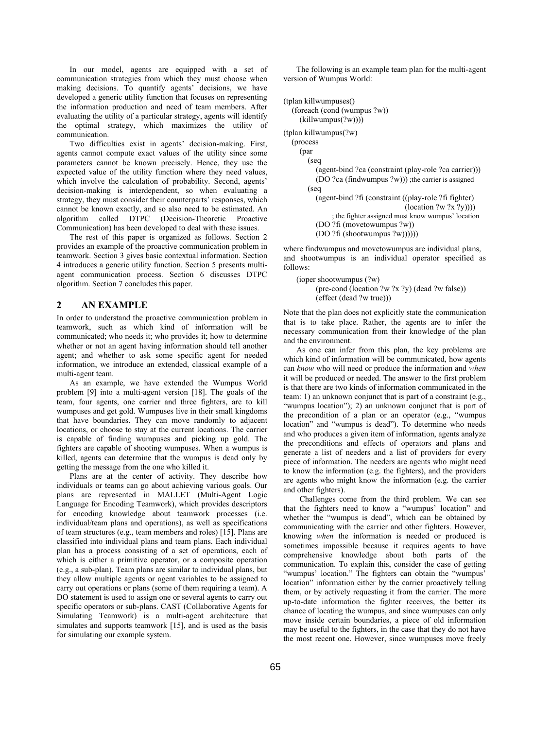In our model, agents are equipped with a set of communication strategies from which they must choose when making decisions. To quantify agents' decisions, we have developed a generic utility function that focuses on representing the information production and need of team members. After evaluating the utility of a particular strategy, agents will identify the optimal strategy, which maximizes the utility of communication.

Two difficulties exist in agents' decision-making. First, agents cannot compute exact values of the utility since some parameters cannot be known precisely. Hence, they use the expected value of the utility function where they need values, which involve the calculation of probability. Second, agents' decision-making is interdependent, so when evaluating a strategy, they must consider their counterparts' responses, which cannot be known exactly, and so also need to be estimated. An algorithm called DTPC (Decision-Theoretic Proactive Communication) has been developed to deal with these issues.

The rest of this paper is organized as follows. Section 2 provides an example of the proactive communication problem in teamwork. Section 3 gives basic contextual information. Section 4 introduces a generic utility function. Section 5 presents multiagent communication process. Section 6 discusses DTPC algorithm. Section 7 concludes this paper.

#### **2 AN EXAMPLE**

In order to understand the proactive communication problem in teamwork, such as which kind of information will be communicated; who needs it; who provides it; how to determine whether or not an agent having information should tell another agent; and whether to ask some specific agent for needed information, we introduce an extended, classical example of a multi-agent team.

As an example, we have extended the Wumpus World problem [9] into a multi-agent version [18]. The goals of the team, four agents, one carrier and three fighters, are to kill wumpuses and get gold. Wumpuses live in their small kingdoms that have boundaries. They can move randomly to adjacent locations, or choose to stay at the current locations. The carrier is capable of finding wumpuses and picking up gold. The fighters are capable of shooting wumpuses. When a wumpus is killed, agents can determine that the wumpus is dead only by getting the message from the one who killed it.

Plans are at the center of activity. They describe how individuals or teams can go about achieving various goals. Our plans are represented in MALLET (Multi-Agent Logic Language for Encoding Teamwork), which provides descriptors for encoding knowledge about teamwork processes (i.e. individual/team plans and operations), as well as specifications of team structures (e.g., team members and roles) [15]. Plans are classified into individual plans and team plans. Each individual plan has a process consisting of a set of operations, each of which is either a primitive operator, or a composite operation (e.g., a sub-plan). Team plans are similar to individual plans, but they allow multiple agents or agent variables to be assigned to carry out operations or plans (some of them requiring a team). A DO statement is used to assign one or several agents to carry out specific operators or sub-plans. CAST (Collaborative Agents for Simulating Teamwork) is a multi-agent architecture that simulates and supports teamwork [15], and is used as the basis for simulating our example system.

The following is an example team plan for the multi-agent version of Wumpus World:

(tplan killwumpuses() (foreach (cond (wumpus ?w)) (killwumpus(?w)))) (tplan killwumpus(?w) (process (par (seq (agent-bind ?ca (constraint (play-role ?ca carrier))) (DO ?ca (findwumpus ?w))) ;the carrier is assigned (seq (agent-bind ?fi (constraint ((play-role ?fi fighter)  $(location ?w ?x ?y)))$ ; the fighter assigned must know wumpus' location (DO ?fi (movetowumpus ?w)) (DO ?fi (shootwumpus ?w))))))

where findwumpus and movetowumpus are individual plans, and shootwumpus is an individual operator specified as follows:

```
(ioper shootwumpus (?w) 
      (pre-cond (location ?w ?x ?y) (dead ?w false)) 
      (effect (dead ?w true)))
```
Note that the plan does not explicitly state the communication that is to take place. Rather, the agents are to infer the necessary communication from their knowledge of the plan and the environment.

As one can infer from this plan, the key problems are which kind of information will be communicated, how agents can *know* who will need or produce the information and *when* it will be produced or needed. The answer to the first problem is that there are two kinds of information communicated in the team: 1) an unknown conjunct that is part of a constraint (e.g., "wumpus location"); 2) an unknown conjunct that is part of the precondition of a plan or an operator (e.g., "wumpus location" and "wumpus is dead"). To determine who needs and who produces a given item of information, agents analyze the preconditions and effects of operators and plans and generate a list of needers and a list of providers for every piece of information. The needers are agents who might need to know the information (e.g. the fighters), and the providers are agents who might know the information (e.g. the carrier and other fighters).

Challenges come from the third problem. We can see that the fighters need to know a "wumpus' location" and whether the "wumpus is dead", which can be obtained by communicating with the carrier and other fighters. However, knowing *when* the information is needed or produced is sometimes impossible because it requires agents to have comprehensive knowledge about both parts of the communication. To explain this, consider the case of getting "wumpus' location." The fighters can obtain the "wumpus' location" information either by the carrier proactively telling them, or by actively requesting it from the carrier. The more up-to-date information the fighter receives, the better its chance of locating the wumpus, and since wumpuses can only move inside certain boundaries, a piece of old information may be useful to the fighters, in the case that they do not have the most recent one. However, since wumpuses move freely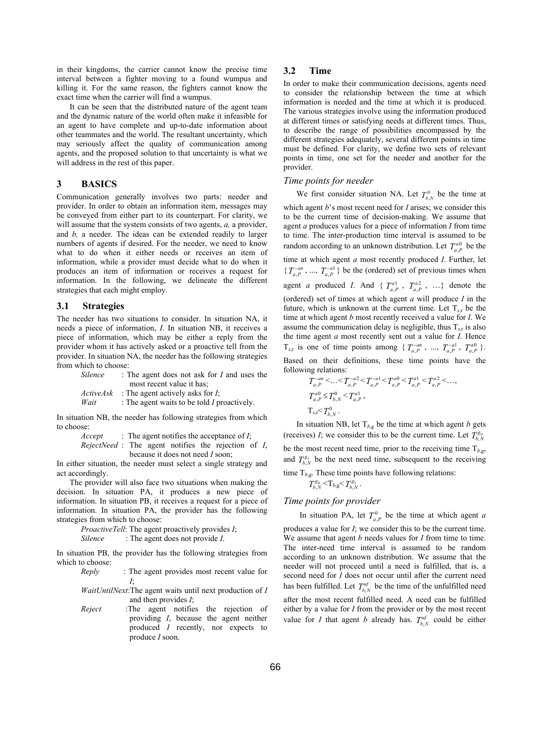in their kingdoms, the carrier cannot know the precise time interval between a fighter moving to a found wumpus and killing it. For the same reason, the fighters cannot know the exact time when the carrier will find a wumpus.

It can be seen that the distributed nature of the agent team and the dynamic nature of the world often make it infeasible for an agent to have complete and up-to-date information about other teammates and the world. The resultant uncertainty, which may seriously affect the quality of communication among agents, and the proposed solution to that uncertainty is what we will address in the rest of this paper.

#### **3 BASICS**

Communication generally involves two parts: needer and provider. In order to obtain an information item, messages may be conveyed from either part to its counterpart. For clarity, we will assume that the system consists of two agents, *a,* a provider, and *b,* a needer. The ideas can be extended readily to larger numbers of agents if desired. For the needer, we need to know what to do when it either needs or receives an item of information, while a provider must decide what to do when it produces an item of information or receives a request for information. In the following, we delineate the different strategies that each might employ.

#### **3.1 Strategies**

The needer has two situations to consider. In situation NA, it needs a piece of information, *I*. In situation NB, it receives a piece of information, which may be either a reply from the provider whom it has actively asked or a proactive tell from the provider. In situation NA, the needer has the following strategies from which to choose:

| <i>Silence</i>   | : The agent does not ask for $I$ and uses the |
|------------------|-----------------------------------------------|
|                  | most recent value it has:                     |
| <i>ActiveAsk</i> | : The agent actively asks for $I$ ;           |
| Wait             | : The agent waits to be told $I$ proactively. |

In situation NB, the needer has following strategies from which to choose:

> *Accept* : The agent notifies the acceptance of *I*; *RejectNeed* : The agent notifies the rejection of *I*, because it does not need *I* soon;

In either situation, the needer must select a single strategy and act accordingly.

The provider will also face two situations when making the decision. In situation PA, it produces a new piece of information. In situation PB, it receives a request for a piece of information. In situation PA, the provider has the following strategies from which to choose:

*ProactiveTell*: The agent proactively provides *I*; *Silence* : The agent does not provide *I*.

In situation PB, the provider has the following strategies from which to choose:

- *Reply* : The agent provides most recent value for *I*;
- *WaitUntilNext*:The agent waits until next production of *I* and then provides *I*;
- *Reject* :The agent notifies the rejection of providing *I*, because the agent neither produced *I* recently, nor expects to produce *I* soon.

#### **3.2 Time**

In order to make their communication decisions, agents need to consider the relationship between the time at which information is needed and the time at which it is produced. The various strategies involve using the information produced at different times or satisfying needs at different times. Thus, to describe the range of possibilities encompassed by the different strategies adequately, several different points in time must be defined. For clarity, we define two sets of relevant points in time, one set for the needer and another for the provider.

## *Time points for needer*

We first consider situation NA. Let  $T_{b,N}^0$  be the time at which agent *b*'s most recent need for *I* arises; we consider this to be the current time of decision-making. We assume that agent *a* produces values for a piece of information *I* from time to time. The inter-production time interval is assumed to be random according to an unknown distribution. Let  $T_{a,P}^{a0}$  be the time at which agent *a* most recently produced *I*. Further, let  ${T_{a,P}^{-an}$ , ...,  ${T_{a,P}^{-al}}$  be the (ordered) set of previous times when agent *a* produced *I*. And {  $T_{a,P}^{a_1}$ ,  $T_{a,P}^{a_2}$ , ...} denote the (ordered) set of times at which agent *a* will produce *I* in the future, which is unknown at the current time. Let  $T_{sr}$  be the time at which agent *b* most recently received a value for *I*. We assume the communication delay is negligible, thus  $T_{s,r}$  is also the time agent *a* most recently sent out a value for *I*. Hence

 $T_{s,r}$  is one of time points among {  $T_{a,P}^{-an}$  , ...,  $T_{a,P}^{-a1}$  ,  $T_{a,P}^{a0}$  }. Based on their definitions, these time points have the following relations:

$$
T_{a,P}^{-an} < ... < T_{a,P}^{-a2} < T_{a,P}^{-a1} < T_{a,P}^{a0} < T_{a,P}^{a1} < T_{a,P}^{a2} < ... ,
$$
  
\n
$$
T_{a,P}^{a0} \le T_{b,N}^{0} < T_{a,P}^{a1} ,
$$
  
\n
$$
T_{s,r} < T_{b,N}^{0} .
$$

In situation NB, let  $T_{b,g}$  be the time at which agent *b* gets (receives) *I*; we consider this to be the current time. Let  $T_{b,N}^{g_0}$ be the most recent need time, prior to the receiving time  $T_{b,g}$ , and  $T_{b,N}^{g_1}$  be the next need time, subsequent to the receiving time  $T_{b,g}$ . These time points have following relations:

$$
T_{b,N}^{g_0} < T_{b,g} < T_{b,N}^{g_1}.
$$

## *Time points for provider*

In situation PA, let  $T_{a,P}^0$  be the time at which agent *a* produces a value for *I*; we consider this to be the current time. We assume that agent *b* needs values for *I* from time to time. The inter-need time interval is assumed to be random according to an unknown distribution. We assume that the needer will not proceed until a need is fulfilled, that is, a second need for *I* does not occur until after the current need has been fulfilled. Let  $T_{b,N}^{uf}$  be the time of the unfulfilled need after the most recent fulfilled need. A need can be fulfilled either by a value for *I* from the provider or by the most recent value for *I* that agent *b* already has.  $T_{b,N}^{uf}$  could be either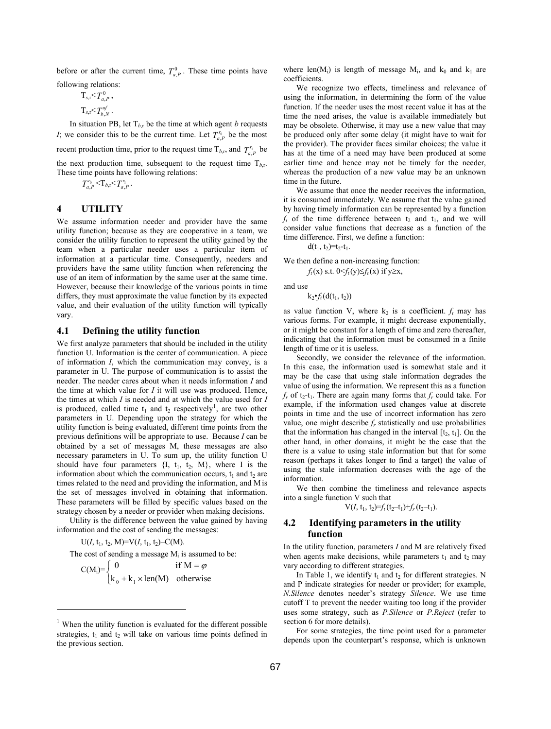before or after the current time,  $T_{a,P}^0$ . These time points have following relations:

> $T_{s,r} < T^0_{a,p}$ ,  $T_{s,r} < T_{h,N}^{uf}$ .

In situation PB, let  $T_{b,r}$  be the time at which agent *b* requests *I*; we consider this to be the current time. Let  $T_{a,P}^{r_0}$  be the most recent production time, prior to the request time  $T_{b,r}$ , and  $T_{a,P}^{r_1}$  be the next production time, subsequent to the request time  $T_{b,r}$ . These time points have following relations:

$$
T_{a,P}^{r_0} < T_{b,r} < T_{a,P}^{r_1}.
$$

# **4 UTILITY**

We assume information needer and provider have the same utility function; because as they are cooperative in a team, we consider the utility function to represent the utility gained by the team when a particular needer uses a particular item of information at a particular time. Consequently, needers and providers have the same utility function when referencing the use of an item of information by the same user at the same time. However, because their knowledge of the various points in time differs, they must approximate the value function by its expected value, and their evaluation of the utility function will typically vary.

## **4.1 Defining the utility function**

We first analyze parameters that should be included in the utility function U. Information is the center of communication. A piece of information *I*, which the communication may convey, is a parameter in U. The purpose of communication is to assist the needer. The needer cares about when it needs information *I* and the time at which value for *I* it will use was produced. Hence, the times at which *I* is needed and at which the value used for *I* is produced, called time  $t_1$  and  $t_2$  respectively<sup>1</sup>, are two other parameters in U. Depending upon the strategy for which the utility function is being evaluated, different time points from the previous definitions will be appropriate to use. Because *I* can be obtained by a set of messages M, these messages are also necessary parameters in U. To sum up, the utility function U should have four parameters  $\{I, t_1, t_2, M\}$ , where I is the information about which the communication occurs,  $t_1$  and  $t_2$  are times related to the need and providing the information, and Mis the set of messages involved in obtaining that information. These parameters will be filled by specific values based on the strategy chosen by a needer or provider when making decisions.

Utility is the difference between the value gained by having information and the cost of sending the messages:

 $U(I, t_1, t_2, M)=V(I, t_1, t_2)-C(M).$ 

1

The cost of sending a message  $M_i$  is assumed to be:

 $C(M_i)=$  $\overline{\mathfrak{l}}$ ⇃  $\left\lceil \right\rceil$  $+$  k<sub>1</sub>  $\times$ =  $k_0 + k_1 \times len(M)$  otherwise 0 if M  $0$   $\mathbf{R}_1$ ϕ

where len( $M_i$ ) is length of message  $M_i$ , and  $k_0$  and  $k_1$  are coefficients.

We recognize two effects, timeliness and relevance of using the information, in determining the form of the value function. If the needer uses the most recent value it has at the time the need arises, the value is available immediately but may be obsolete. Otherwise, it may use a new value that may be produced only after some delay (it might have to wait for the provider). The provider faces similar choices; the value it has at the time of a need may have been produced at some earlier time and hence may not be timely for the needer, whereas the production of a new value may be an unknown time in the future.

We assume that once the needer receives the information, it is consumed immediately. We assume that the value gained by having timely information can be represented by a function  $f_t$  of the time difference between  $t_2$  and  $t_1$ , and we will consider value functions that decrease as a function of the time difference. First, we define a function:

 $d(t_1, t_2)=t_2-t_1.$ 

We then define a non-increasing function:

 $f_t$ (x) s.t.  $0 \leq f_t$  (y) $\leq f_t$ (x) if y≥x,

and use

 $k_2 \cdot f_t(d(t_1, t_2))$ 

as value function V, where  $k_2$  is a coefficient.  $f_t$  may has various forms. For example, it might decrease exponentially, or it might be constant for a length of time and zero thereafter, indicating that the information must be consumed in a finite length of time or it is useless.

Secondly, we consider the relevance of the information. In this case, the information used is somewhat stale and it may be the case that using stale information degrades the value of using the information. We represent this as a function  $f_r$  of  $t_2$ - $t_1$ . There are again many forms that  $f_r$  could take. For example, if the information used changes value at discrete points in time and the use of incorrect information has zero value, one might describe  $f_r$  statistically and use probabilities that the information has changed in the interval  $[t_2, t_1]$ . On the other hand, in other domains, it might be the case that the there is a value to using stale information but that for some reason (perhaps it takes longer to find a target) the value of using the stale information decreases with the age of the information.

We then combine the timeliness and relevance aspects into a single function V such that

 $V(I, t_1, t_2) = f_t (t_2 - t_1) + f_r (t_2 - t_1).$ 

## **4.2 Identifying parameters in the utility function**

In the utility function, parameters *I* and M are relatively fixed when agents make decisions, while parameters  $t_1$  and  $t_2$  may vary according to different strategies.

In Table 1, we identify  $t_1$  and  $t_2$  for different strategies. N and P indicate strategies for needer or provider; for example, *N.Silence* denotes needer's strategy *Silence*. We use time cutoff T to prevent the needer waiting too long if the provider uses some strategy, such as *P.Silence* or *P.Reject* (refer to section 6 for more details).

For some strategies, the time point used for a parameter depends upon the counterpart's response, which is unknown

<sup>&</sup>lt;sup>1</sup> When the utility function is evaluated for the different possible strategies,  $t_1$  and  $t_2$  will take on various time points defined in the previous section.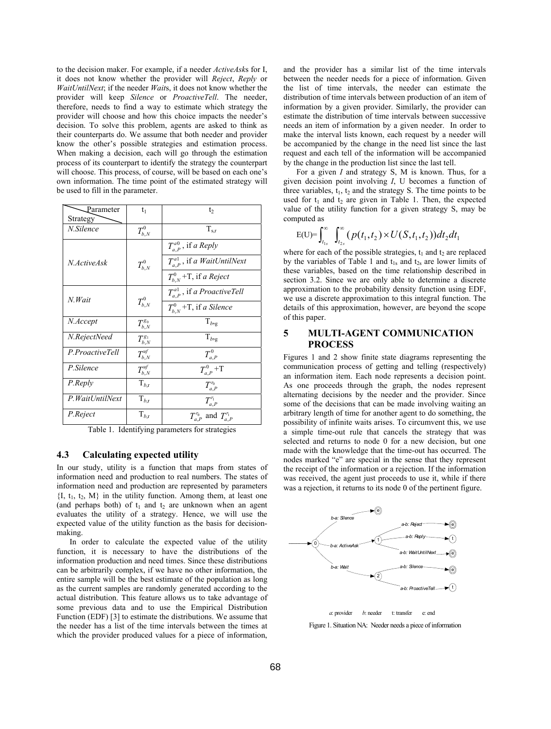to the decision maker. For example, if a needer *ActiveAsk*s for I, it does not know whether the provider will *Reject*, *Reply* or *WaitUntilNext*; if the needer *Wait*s, it does not know whether the provider will keep *Silence* or *ProactiveTell*. The needer, therefore, needs to find a way to estimate which strategy the provider will choose and how this choice impacts the needer's decision. To solve this problem, agents are asked to think as their counterparts do. We assume that both needer and provider know the other's possible strategies and estimation process. When making a decision, each will go through the estimation process of its counterpart to identify the strategy the counterpart will choose. This process, of course, will be based on each one's own information. The time point of the estimated strategy will be used to fill in the parameter.

| Parameter        |                             |                                        |
|------------------|-----------------------------|----------------------------------------|
|                  | $\mathfrak{t}_1$            | t <sub>2</sub>                         |
| Strategy         |                             |                                        |
| N.Silence        | $T^0_{b,N}$                 | $T_{s,r}$                              |
|                  |                             | $T_{a,p}^{a0}$ , if a Reply            |
| N.ActiveAsk      | $T_{b.N}^0$                 | $T_{a,P}^{a1}$ , if a WaitUntilNext    |
|                  |                             | $T_{hN}^0$ +T, if a Reject             |
| N. Wait          | $T^0_{b,N}$                 | $T_a^{\text{al}}$ , if a ProactiveTell |
|                  |                             | $T_{b,N}^0$ +T, if a Silence           |
| N.Accept         | $T_{b,N}^{g_0}$             | $\mathrm{T}_{b\text{-}g}$              |
| N.RejectNeed     | $T_{b,N}^{g_1}$             | $T_{b,g}$                              |
| P.ProactiveTell  | $T_{b,N}^{uf}$              | $T^0_{a,p}$                            |
| P.Silence        | $T_{b,N}^{uf}$              | $T^0_{a,P}$ +T                         |
| P.Reply          | $\mathrm{T}_{b,\mathrm{r}}$ | $T^{\mathit{r}_0}_{a,P}$               |
| P. WaitUntilNext | $T_{b,r}$                   | $T_{a.P}^{r_1}$                        |
| P.Reject         | $\mathrm{T}_{b,\mathrm{r}}$ | $T_{a,P}^{r_0}$ and $T_{a,P}^{r_1}$    |

Table 1. Identifying parameters for strategies

## **4.3 Calculating expected utility**

In our study, utility is a function that maps from states of information need and production to real numbers. The states of information need and production are represented by parameters  ${I, t<sub>1</sub>, t<sub>2</sub>, M}$  in the utility function. Among them, at least one (and perhaps both) of  $t_1$  and  $t_2$  are unknown when an agent evaluates the utility of a strategy. Hence, we will use the expected value of the utility function as the basis for decisionmaking.

In order to calculate the expected value of the utility function, it is necessary to have the distributions of the information production and need times. Since these distributions can be arbitrarily complex, if we have no other information, the entire sample will be the best estimate of the population as long as the current samples are randomly generated according to the actual distribution. This feature allows us to take advantage of some previous data and to use the Empirical Distribution Function (EDF) [3] to estimate the distributions. We assume that the needer has a list of the time intervals between the times at which the provider produced values for a piece of information, and the provider has a similar list of the time intervals between the needer needs for a piece of information. Given the list of time intervals, the needer can estimate the distribution of time intervals between production of an item of information by a given provider. Similarly, the provider can estimate the distribution of time intervals between successive needs an item of information by a given needer. In order to make the interval lists known, each request by a needer will be accompanied by the change in the need list since the last request and each tell of the information will be accompanied by the change in the production list since the last tell.

For a given *I* and strategy S, M is known. Thus, for a given decision point involving *I*, U becomes a function of three variables,  $t_1$ ,  $t_2$  and the strategy S. The time points to be used for  $t_1$  and  $t_2$  are given in Table 1. Then, the expected value of the utility function for a given strategy S, may be computed as

$$
E(U) = \int_{t_{1s}}^{\infty} \int_{t_{2s}}^{\infty} (p(t_1, t_2) \times U(S, t_1, t_2)) dt_2 dt_1
$$

where for each of the possible strategies,  $t_1$  and  $t_2$  are replaced by the variables of Table 1 and  $t_{1s}$  and  $t_{2s}$  are lower limits of these variables, based on the time relationship described in section 3.2. Since we are only able to determine a discrete approximation to the probability density function using EDF, we use a discrete approximation to this integral function. The details of this approximation, however, are beyond the scope of this paper.

## **5 MULTI-AGENT COMMUNICATION PROCESS**

Figures 1 and 2 show finite state diagrams representing the communication process of getting and telling (respectively) an information item. Each node represents a decision point. As one proceeds through the graph, the nodes represent alternating decisions by the needer and the provider. Since some of the decisions that can be made involving waiting an arbitrary length of time for another agent to do something, the possibility of infinite waits arises. To circumvent this, we use a simple time-out rule that cancels the strategy that was selected and returns to node 0 for a new decision, but one made with the knowledge that the time-out has occurred. The nodes marked "e" are special in the sense that they represent the receipt of the information or a rejection. If the information was received, the agent just proceeds to use it, while if there was a rejection, it returns to its node 0 of the pertinent figure.



Figure 1. Situation NA: Needer needs a piece of information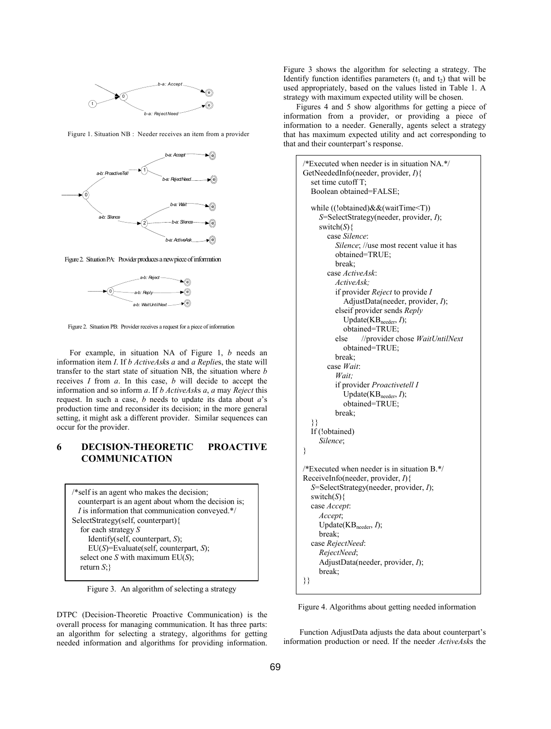

Figure 1. Situation NB : Needer receives an item from a provider



Figure 2. Situation PA: Provider produces a new piece of information



Figure 2. Situation PB: Provider receives a request for a piece of information

For example, in situation NA of Figure 1, *b* needs an information item *I*. If *b ActiveAsk*s *a* and *a Replie*s, the state will transfer to the start state of situation NB, the situation where *b* receives *I* from *a*. In this case, *b* will decide to accept the information and so inform *a*. If *b ActiveAsk*s *a*, *a* may *Reject* this request. In such a case, *b* needs to update its data about *a*'s production time and reconsider its decision; in the more general setting, it might ask a different provider. Similar sequences can occur for the provider.

## **6 DECISION-THEORETIC PROACTIVE COMMUNICATION**

/\*self is an agent who makes the decision; counterpart is an agent about whom the decision is; *I* is information that communication conveyed.\*/ SelectStrategy(self, counterpart){ for each strategy *S* Identify(self, counterpart, *S*); EU(*S*)=Evaluate(self, counterpart, *S*); select one *S* with maximum EU(*S*); return *S*;}

Figure 3. An algorithm of selecting a strategy

DTPC (Decision-Theoretic Proactive Communication) is the overall process for managing communication. It has three parts: an algorithm for selecting a strategy, algorithms for getting needed information and algorithms for providing information.

Figure 3 shows the algorithm for selecting a strategy. The Identify function identifies parameters  $(t_1$  and  $t_2)$  that will be used appropriately, based on the values listed in Table 1. A strategy with maximum expected utility will be chosen.

Figures 4 and 5 show algorithms for getting a piece of information from a provider, or providing a piece of information to a needer. Generally, agents select a strategy that has maximum expected utility and act corresponding to that and their counterpart's response.

```
/*Executed when needer is in situation NA.*/ 
GetNeededInfo(needer, provider, I){ 
   set time cutoff T; 
   Boolean obtained=FALSE; 
   while ((!obtained)&&(waitTime<T)) 
      S=SelectStrategy(needer, provider, I); 
      switch(S){ 
         case Silence: 
            Silence; //use most recent value it has 
            obtained=TRUE; 
            break; 
         case ActiveAsk: 
            ActiveAsk; 
            if provider Reject to provide I
               AdjustData(needer, provider, I); 
            elseif provider sends Reply 
             Update(KB<sub>needer</sub>, I);
           obtained=TRUE;<br>else //provider cl
                    else //provider chose WaitUntilNext 
              obtained=TRUE; 
            break; 
         case Wait:
            Wait; 
            if provider Proactivetell I 
             Update(KB<sub>needer</sub>, I);
              obtained=TRUE; 
            break; 
 }} 
   If (!obtained) 
      Silence; 
} 
/*Executed when needer is in situation B.*/ 
ReceiveInfo(needer, provider, I){ 
   S=SelectStrategy(needer, provider, I); 
   switch(S){ 
   case Accept: 
      Accept; 
     Update(KB<sub>needer</sub>, I);
      break; 
   case RejectNeed: 
      RejectNeed; 
      AdjustData(needer, provider, I); 
      break; 
}}
```
Figure 4. Algorithms about getting needed information

Function AdjustData adjusts the data about counterpart's information production or need. If the needer *ActiveAsk*s the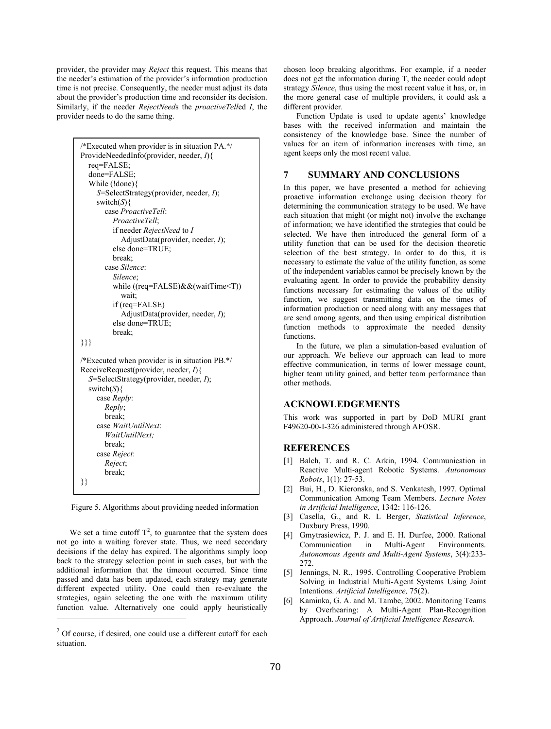provider, the provider may *Reject* this request. This means that the needer's estimation of the provider's information production time is not precise. Consequently, the needer must adjust its data about the provider's production time and reconsider its decision. Similarly, if the needer *RejectNeed*s the *proactiveTell*ed *I*, the provider needs to do the same thing.

```
/*Executed when provider is in situation PA.*/ 
ProvideNeededInfo(provider, needer, I){ 
   req=FALSE; 
   done=FALSE; 
   While (!done){ 
      S=SelectStrategy(provider, needer, I); 
      switch(S){ 
        case ProactiveTell: 
           ProactiveTell; 
           if needer RejectNeed to I
              AdjustData(provider, needer, I); 
          else done=TRUE; 
           break; 
         case Silence: 
           Silence; 
           while ((req=FALSE)&&(waitTime<T)) 
              wait; 
           if (req=FALSE) 
              AdjustData(provider, needer, I); 
           else done=TRUE; 
           break; 
}}} 
/*Executed when provider is in situation PB.*/ 
ReceiveRequest(provider, needer, I){
   S=SelectStrategy(provider, needer, I); 
  switch(S){
      case Reply: 
        Reply; 
        break; 
      case WaitUntilNext: 
         WaitUntilNext;
        break; 
      case Reject: 
        Reject; 
        break; 
}}
```
Figure 5. Algorithms about providing needed information

We set a time cutoff  $T^2$ , to guarantee that the system does not go into a waiting forever state. Thus, we need secondary decisions if the delay has expired. The algorithms simply loop back to the strategy selection point in such cases, but with the additional information that the timeout occurred. Since time passed and data has been updated, each strategy may generate different expected utility. One could then re-evaluate the strategies, again selecting the one with the maximum utility function value. Alternatively one could apply heuristically

 $\overline{a}$ 

chosen loop breaking algorithms. For example, if a needer does not get the information during T, the needer could adopt strategy *Silence*, thus using the most recent value it has, or, in the more general case of multiple providers, it could ask a different provider.

Function Update is used to update agents' knowledge bases with the received information and maintain the consistency of the knowledge base. Since the number of values for an item of information increases with time, an agent keeps only the most recent value.

## **7 SUMMARY AND CONCLUSIONS**

In this paper, we have presented a method for achieving proactive information exchange using decision theory for determining the communication strategy to be used. We have each situation that might (or might not) involve the exchange of information; we have identified the strategies that could be selected. We have then introduced the general form of a utility function that can be used for the decision theoretic selection of the best strategy. In order to do this, it is necessary to estimate the value of the utility function, as some of the independent variables cannot be precisely known by the evaluating agent. In order to provide the probability density functions necessary for estimating the values of the utility function, we suggest transmitting data on the times of information production or need along with any messages that are send among agents, and then using empirical distribution function methods to approximate the needed density functions.

In the future, we plan a simulation-based evaluation of our approach. We believe our approach can lead to more effective communication, in terms of lower message count, higher team utility gained, and better team performance than other methods.

#### **ACKNOWLEDGEMENTS**

This work was supported in part by DoD MURI grant F49620-00-I-326 administered through AFOSR.

# **REFERENCES**

- [1] Balch, T. and R. C. Arkin, 1994. Communication in Reactive Multi-agent Robotic Systems. *Autonomous Robots*, 1(1): 27-53.
- [2] Bui, H., D. Kieronska, and S. Venkatesh, 1997. Optimal Communication Among Team Members. *Lecture Notes in Artificial Intelligence*, 1342: 116-126.
- [3] Casella, G., and R. L Berger, *Statistical Inference*, Duxbury Press, 1990.
- [4] Gmytrasiewicz, P. J. and E. H. Durfee, 2000. Rational Communication in Multi-Agent Environments. *Autonomous Agents and Multi-Agent Systems*, 3(4):233- 272.
- [5] Jennings, N. R., 1995. Controlling Cooperative Problem Solving in Industrial Multi-Agent Systems Using Joint Intentions. *Artificial Intelligence,* 75(2).
- [6] Kaminka, G. A. and M. Tambe, 2002. Monitoring Teams by Overhearing: A Multi-Agent Plan-Recognition Approach. *Journal of Artificial Intelligence Research*.

<sup>&</sup>lt;sup>2</sup> Of course, if desired, one could use a different cutoff for each situation.